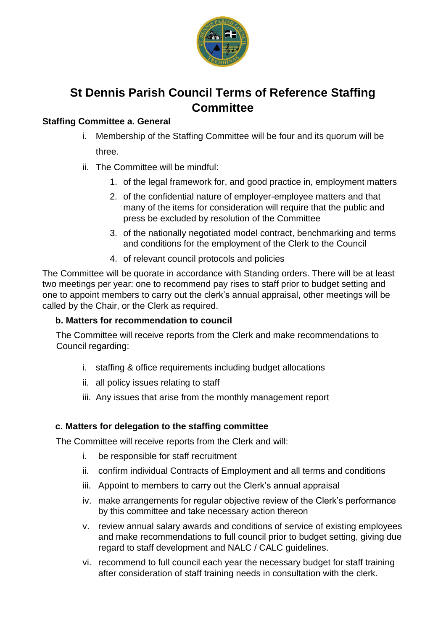

# **St Dennis Parish Council Terms of Reference Staffing Committee**

## **Staffing Committee a. General**

- i. Membership of the Staffing Committee will be four and its quorum will be three.
- ii. The Committee will be mindful:
	- 1. of the legal framework for, and good practice in, employment matters
	- 2. of the confidential nature of employer-employee matters and that many of the items for consideration will require that the public and press be excluded by resolution of the Committee
	- 3. of the nationally negotiated model contract, benchmarking and terms and conditions for the employment of the Clerk to the Council
	- 4. of relevant council protocols and policies

The Committee will be quorate in accordance with Standing orders. There will be at least two meetings per year: one to recommend pay rises to staff prior to budget setting and one to appoint members to carry out the clerk's annual appraisal, other meetings will be called by the Chair, or the Clerk as required.

### **b. Matters for recommendation to council**

The Committee will receive reports from the Clerk and make recommendations to Council regarding:

- i. staffing & office requirements including budget allocations
- ii. all policy issues relating to staff
- iii. Any issues that arise from the monthly management report

### **c. Matters for delegation to the staffing committee**

The Committee will receive reports from the Clerk and will:

- i. be responsible for staff recruitment
- ii. confirm individual Contracts of Employment and all terms and conditions
- iii. Appoint to members to carry out the Clerk's annual appraisal
- iv. make arrangements for regular objective review of the Clerk's performance by this committee and take necessary action thereon
- v. review annual salary awards and conditions of service of existing employees and make recommendations to full council prior to budget setting, giving due regard to staff development and NALC / CALC guidelines.
- vi. recommend to full council each year the necessary budget for staff training after consideration of staff training needs in consultation with the clerk.